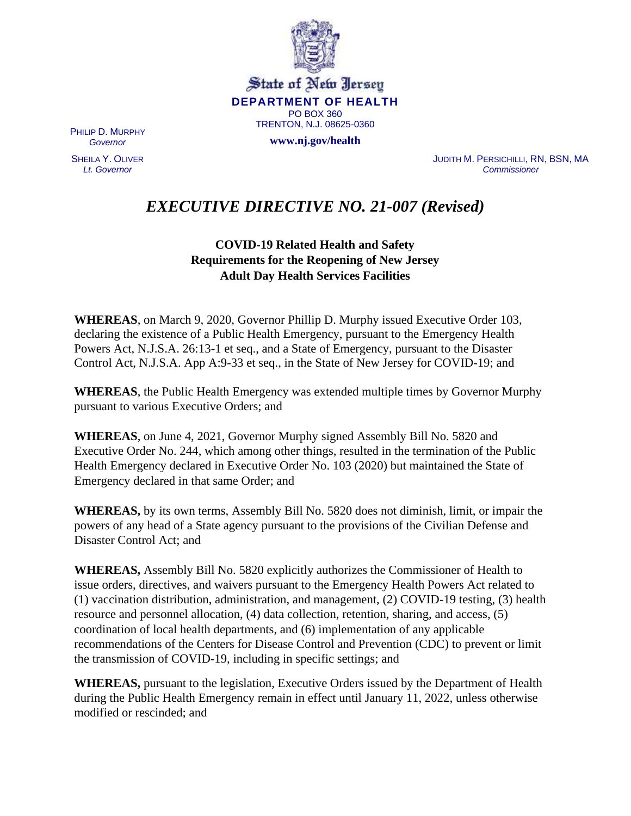

State of New Jersey **DEPARTMENT OF HEALTH** PO BOX 360 TRENTON, N.J. 08625-0360

**www.nj.gov/health**

PHILIP D. MURPHY *Governor*

SHEILA Y. OLIVER *Lt. Governor*

JUDITH M. PERSICHILLI, RN, BSN, MA *Commissioner*

# *EXECUTIVE DIRECTIVE NO. 21-007 (Revised)*

# **COVID-19 Related Health and Safety Requirements for the Reopening of New Jersey Adult Day Health Services Facilities**

**WHEREAS**, on March 9, 2020, Governor Phillip D. Murphy issued Executive Order 103, declaring the existence of a Public Health Emergency, pursuant to the Emergency Health Powers Act, N.J.S.A. 26:13-1 et seq., and a State of Emergency, pursuant to the Disaster Control Act, N.J.S.A. App A:9-33 et seq., in the State of New Jersey for COVID-19; and

**WHEREAS**, the Public Health Emergency was extended multiple times by Governor Murphy pursuant to various Executive Orders; and

**WHEREAS**, on June 4, 2021, Governor Murphy signed Assembly Bill No. 5820 and Executive Order No. 244, which among other things, resulted in the termination of the Public Health Emergency declared in Executive Order No. 103 (2020) but maintained the State of Emergency declared in that same Order; and

**WHEREAS,** by its own terms, Assembly Bill No. 5820 does not diminish, limit, or impair the powers of any head of a State agency pursuant to the provisions of the Civilian Defense and Disaster Control Act; and

**WHEREAS,** Assembly Bill No. 5820 explicitly authorizes the Commissioner of Health to issue orders, directives, and waivers pursuant to the Emergency Health Powers Act related to (1) vaccination distribution, administration, and management, (2) COVID-19 testing, (3) health resource and personnel allocation, (4) data collection, retention, sharing, and access, (5) coordination of local health departments, and (6) implementation of any applicable recommendations of the Centers for Disease Control and Prevention (CDC) to prevent or limit the transmission of COVID-19, including in specific settings; and

**WHEREAS,** pursuant to the legislation, Executive Orders issued by the Department of Health during the Public Health Emergency remain in effect until January 11, 2022, unless otherwise modified or rescinded; and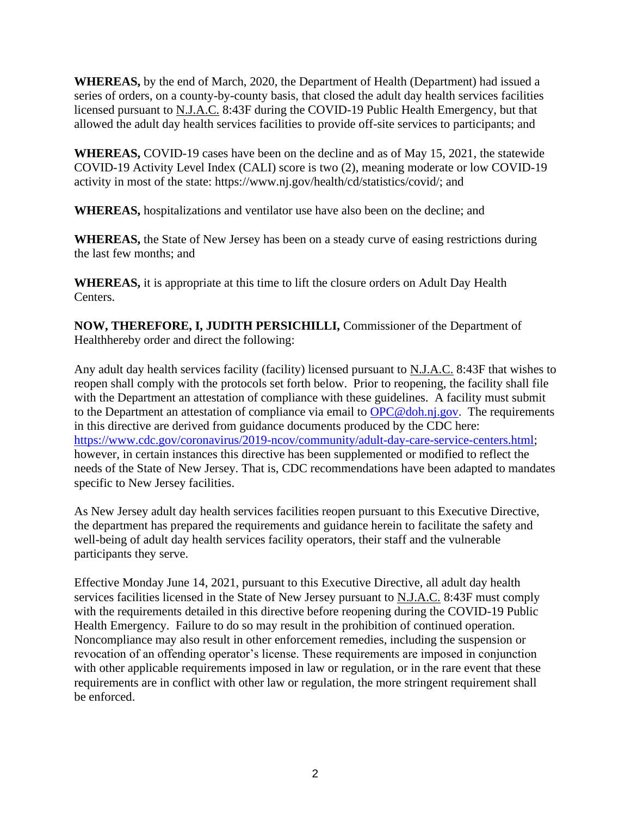**WHEREAS,** by the end of March, 2020, the Department of Health (Department) had issued a series of orders, on a county-by-county basis, that closed the adult day health services facilities licensed pursuant to N.J.A.C. 8:43F during the COVID-19 Public Health Emergency, but that allowed the adult day health services facilities to provide off-site services to participants; and

**WHEREAS,** COVID-19 cases have been on the decline and as of May 15, 2021, the statewide COVID-19 Activity Level Index (CALI) score is two (2), meaning moderate or low COVID-19 activity in most of the state: https://www.nj.gov/health/cd/statistics/covid/; and

**WHEREAS,** hospitalizations and ventilator use have also been on the decline; and

**WHEREAS,** the State of New Jersey has been on a steady curve of easing restrictions during the last few months; and

**WHEREAS,** it is appropriate at this time to lift the closure orders on Adult Day Health Centers.

**NOW, THEREFORE, I, JUDITH PERSICHILLI,** Commissioner of the Department of Healthhereby order and direct the following:

Any adult day health services facility (facility) licensed pursuant to N.J.A.C. 8:43F that wishes to reopen shall comply with the protocols set forth below. Prior to reopening, the facility shall file with the Department an attestation of compliance with these guidelines. A facility must submit to the Department an attestation of compliance via email to [OPC@doh.nj.gov.](mailto:OPC@doh.nj.gov) The requirements in this directive are derived from guidance documents produced by the CDC here: [https://www.cdc.gov/coronavirus/2019-ncov/community/adult-day-care-service-centers.html;](https://www.cdc.gov/coronavirus/2019-ncov/community/adult-day-care-service-centers.html) however, in certain instances this directive has been supplemented or modified to reflect the needs of the State of New Jersey. That is, CDC recommendations have been adapted to mandates specific to New Jersey facilities.

As New Jersey adult day health services facilities reopen pursuant to this Executive Directive, the department has prepared the requirements and guidance herein to facilitate the safety and well-being of adult day health services facility operators, their staff and the vulnerable participants they serve.

Effective Monday June 14, 2021, pursuant to this Executive Directive, all adult day health services facilities licensed in the State of New Jersey pursuant to N.J.A.C. 8:43F must comply with the requirements detailed in this directive before reopening during the COVID-19 Public Health Emergency. Failure to do so may result in the prohibition of continued operation. Noncompliance may also result in other enforcement remedies, including the suspension or revocation of an offending operator's license. These requirements are imposed in conjunction with other applicable requirements imposed in law or regulation, or in the rare event that these requirements are in conflict with other law or regulation, the more stringent requirement shall be enforced.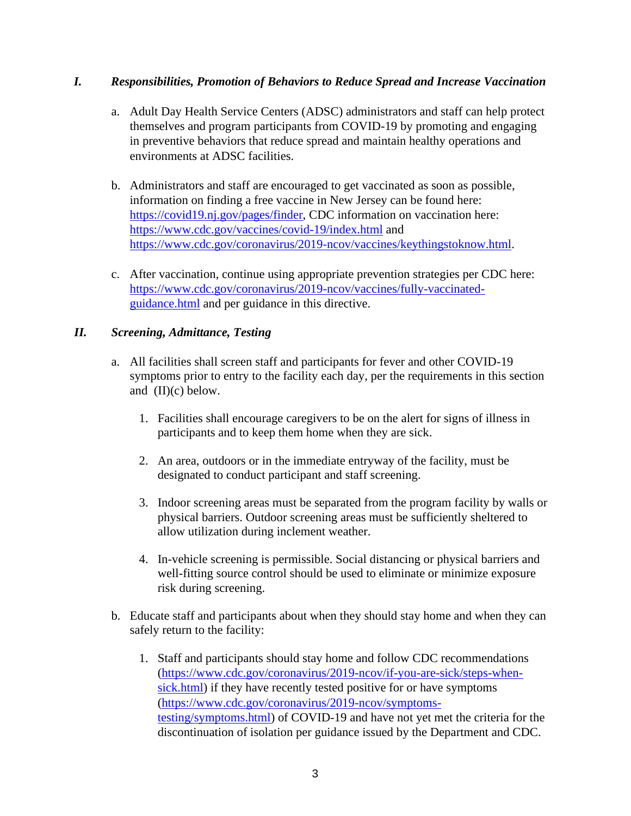## *I. Responsibilities, Promotion of Behaviors to Reduce Spread and Increase Vaccination*

- a. Adult Day Health Service Centers (ADSC) administrators and staff can help protect themselves and program participants from COVID-19 by promoting and engaging in preventive behaviors that reduce spread and maintain healthy operations and environments at ADSC facilities.
- b. Administrators and staff are encouraged to get vaccinated as soon as possible, information on finding a free vaccine in New Jersey can be found here: [https://covid19.nj.gov/pages/finder,](https://covid19.nj.gov/pages/finder) CDC information on vaccination here: <https://www.cdc.gov/vaccines/covid-19/index.html> and [https://www.cdc.gov/coronavirus/2019-ncov/vaccines/keythingstoknow.html.](https://www.cdc.gov/coronavirus/2019-ncov/vaccines/keythingstoknow.html)
- c. After vaccination, continue using appropriate prevention strategies per CDC here: [https://www.cdc.gov/coronavirus/2019-ncov/vaccines/fully-vaccinated](https://www.cdc.gov/coronavirus/2019-ncov/vaccines/fully-vaccinated-guidance.html)[guidance.html](https://www.cdc.gov/coronavirus/2019-ncov/vaccines/fully-vaccinated-guidance.html) and per guidance in this directive.

## *II. Screening, Admittance, Testing*

- a. All facilities shall screen staff and participants for fever and other COVID-19 symptoms prior to entry to the facility each day, per the requirements in this section and (II)(c) below.
	- 1. Facilities shall encourage caregivers to be on the alert for signs of illness in participants and to keep them home when they are sick.
	- 2. An area, outdoors or in the immediate entryway of the facility, must be designated to conduct participant and staff screening.
	- 3. Indoor screening areas must be separated from the program facility by walls or physical barriers. Outdoor screening areas must be sufficiently sheltered to allow utilization during inclement weather.
	- 4. In-vehicle screening is permissible. Social distancing or physical barriers and well-fitting source control should be used to eliminate or minimize exposure risk during screening.
- b. Educate staff and participants about when they should stay home and when they can safely return to the facility:
	- 1. Staff and participants should stay home and follow CDC recommendations [\(https://www.cdc.gov/coronavirus/2019-ncov/if-you-are-sick/steps-when](https://www.cdc.gov/coronavirus/2019-ncov/if-you-are-sick/steps-when-sick.html) )[sick.html\)](https://www.cdc.gov/coronavirus/2019-ncov/if-you-are-sick/steps-when-sick.html) ) if they have recently tested positive for or have symptoms [\(https://www.cdc.gov/coronavirus/2019-ncov/symptoms](https://www.cdc.gov/coronavirus/2019-ncov/symptoms-testing/symptoms.html)[testing/symptoms.html\)](https://www.cdc.gov/coronavirus/2019-ncov/symptoms-testing/symptoms.html) of COVID-19 and have not yet met the criteria for the discontinuation of isolation per guidance issued by the Department and CDC.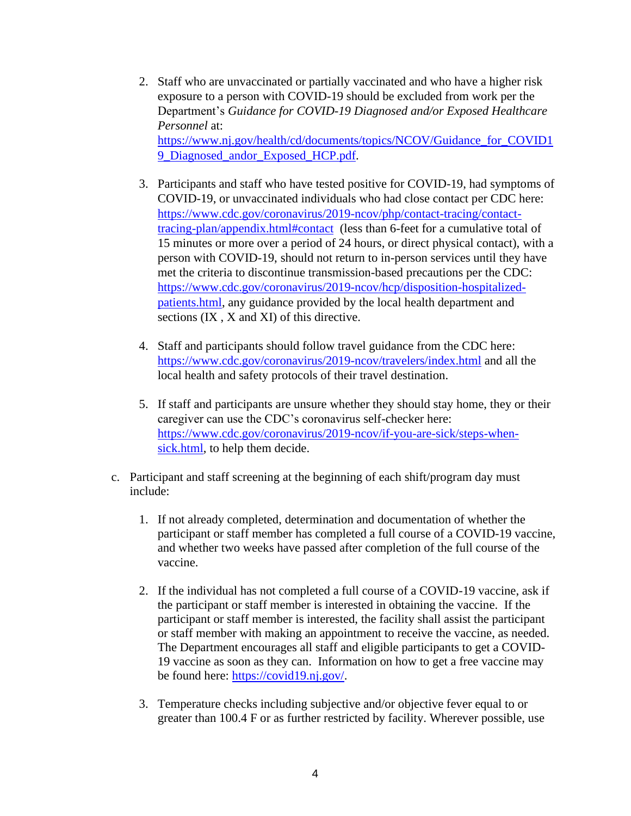- 2. Staff who are unvaccinated or partially vaccinated and who have a higher risk exposure to a person with COVID-19 should be excluded from work per the Department's *Guidance for COVID-19 Diagnosed and/or Exposed Healthcare Personnel* at: [https://www.nj.gov/health/cd/documents/topics/NCOV/Guidance\\_for\\_COVID1](https://www.nj.gov/health/cd/documents/topics/NCOV/Guidance_for_COVID19_Diagnosed_andor_Exposed_HCP.pdf) 9 Diagnosed andor Exposed HCP.pdf.
- 3. Participants and staff who have tested positive for COVID-19, had symptoms of COVID-19, or unvaccinated individuals who had close contact per CDC here: [https://www.cdc.gov/coronavirus/2019-ncov/php/contact-tracing/contact](https://www.cdc.gov/coronavirus/2019-ncov/php/contact-tracing/contact-tracing-plan/appendix.html#contact)[tracing-plan/appendix.html#contact](https://www.cdc.gov/coronavirus/2019-ncov/php/contact-tracing/contact-tracing-plan/appendix.html#contact) (less than 6-feet for a cumulative total of 15 minutes or more over a period of 24 hours, or direct physical contact), with a person with COVID-19, should not return to in-person services until they have met the criteria to discontinue transmission-based precautions per the CDC: [https://www.cdc.gov/coronavirus/2019-ncov/hcp/disposition-hospitalized](https://www.cdc.gov/coronavirus/2019-ncov/hcp/disposition-hospitalized-patients.html)[patients.html,](https://www.cdc.gov/coronavirus/2019-ncov/hcp/disposition-hospitalized-patients.html) any guidance provided by the local health department and sections (IX , X and XI) of this directive.
- 4. Staff and participants should follow travel guidance from the CDC here: <https://www.cdc.gov/coronavirus/2019-ncov/travelers/index.html> and all the local health and safety protocols of their travel destination.
- 5. If staff and participants are unsure whether they should stay home, they or their caregiver can use the CDC's coronavirus self-checker here: [https://www.cdc.gov/coronavirus/2019-ncov/if-you-are-sick/steps-when](https://www.cdc.gov/coronavirus/2019-ncov/if-you-are-sick/steps-when-sick.html)[sick.html,](https://www.cdc.gov/coronavirus/2019-ncov/if-you-are-sick/steps-when-sick.html) to help them decide.
- c. Participant and staff screening at the beginning of each shift/program day must include:
	- 1. If not already completed, determination and documentation of whether the participant or staff member has completed a full course of a COVID-19 vaccine, and whether two weeks have passed after completion of the full course of the vaccine.
	- 2. If the individual has not completed a full course of a COVID-19 vaccine, ask if the participant or staff member is interested in obtaining the vaccine. If the participant or staff member is interested, the facility shall assist the participant or staff member with making an appointment to receive the vaccine, as needed. The Department encourages all staff and eligible participants to get a COVID-19 vaccine as soon as they can. Information on how to get a free vaccine may be found here: [https://covid19.nj.gov/.](https://covid19.nj.gov/)
	- 3. Temperature checks including subjective and/or objective fever equal to or greater than 100.4 F or as further restricted by facility. Wherever possible, use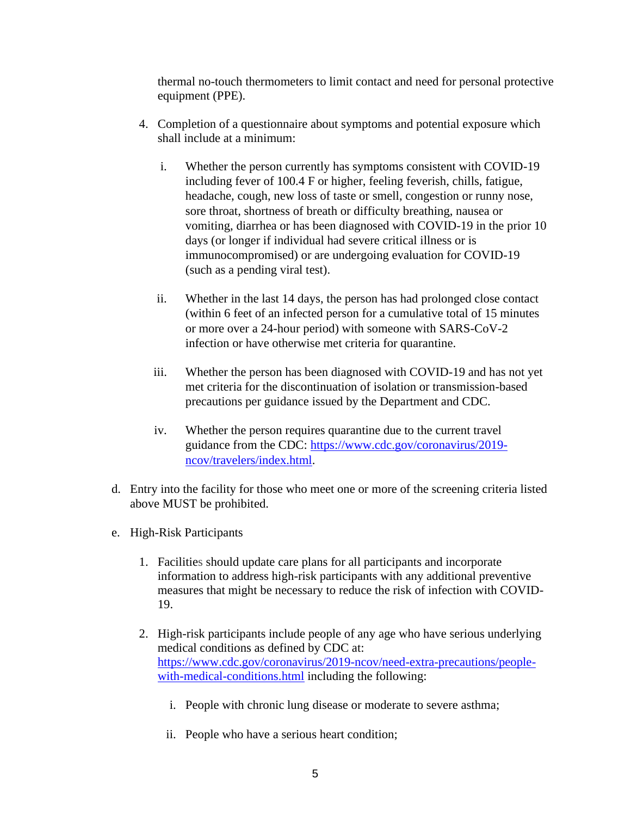thermal no-touch thermometers to limit contact and need for personal protective equipment (PPE).

- 4. Completion of a questionnaire about symptoms and potential exposure which shall include at a minimum:
	- i. Whether the person currently has symptoms consistent with COVID-19 including fever of 100.4 F or higher, feeling feverish, chills, fatigue, headache, cough, new loss of taste or smell, congestion or runny nose, sore throat, shortness of breath or difficulty breathing, nausea or vomiting, diarrhea or has been diagnosed with COVID-19 in the prior 10 days (or longer if individual had severe critical illness or is immunocompromised) or are undergoing evaluation for COVID-19 (such as a pending viral test).
	- ii. Whether in the last 14 days, the person has had prolonged close contact (within 6 feet of an infected person for a cumulative total of 15 minutes or more over a 24-hour period) with someone with SARS-CoV-2 infection or have otherwise met criteria for quarantine.
	- iii. Whether the person has been diagnosed with COVID-19 and has not yet met criteria for the discontinuation of isolation or transmission-based precautions per guidance issued by the Department and CDC.
	- iv. Whether the person requires quarantine due to the current travel guidance from the CDC: [https://www.cdc.gov/coronavirus/2019](https://www.cdc.gov/coronavirus/2019-ncov/travelers/index.html) [ncov/travelers/index.html.](https://www.cdc.gov/coronavirus/2019-ncov/travelers/index.html)
- d. Entry into the facility for those who meet one or more of the screening criteria listed above MUST be prohibited.
- e. High-Risk Participants
	- 1. Facilities should update care plans for all participants and incorporate information to address high-risk participants with any additional preventive measures that might be necessary to reduce the risk of infection with COVID-19.
	- 2. High-risk participants include people of any age who have serious underlying medical conditions as defined by CDC at: [https://www.cdc.gov/coronavirus/2019-ncov/need-extra-precautions/people](https://www.cdc.gov/coronavirus/2019-ncov/need-extra-precautions/people-with-medical-conditions.html)[with-medical-conditions.html](https://www.cdc.gov/coronavirus/2019-ncov/need-extra-precautions/people-with-medical-conditions.html) including the following:
		- i. People with chronic lung disease or moderate to severe asthma;
		- ii. People who have a serious heart condition;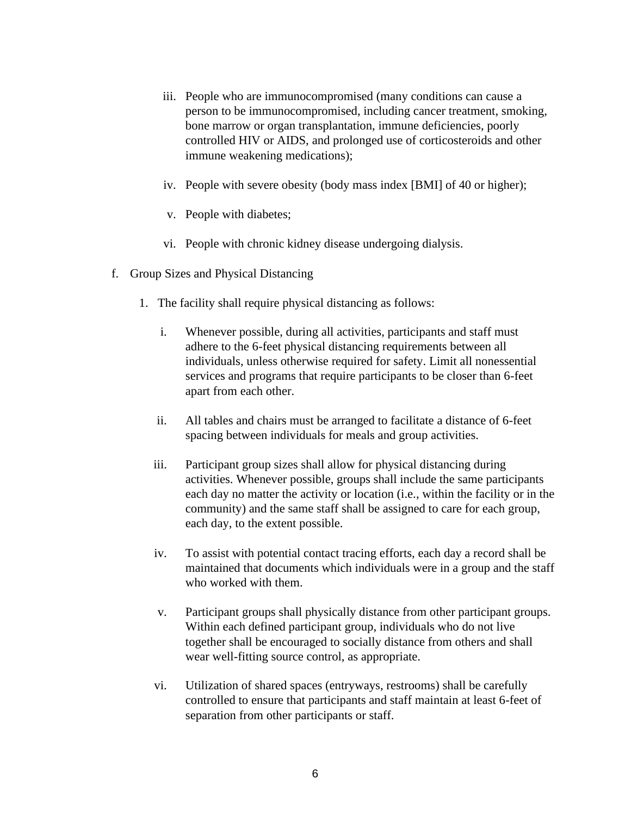- iii. People who are immunocompromised (many conditions can cause a person to be immunocompromised, including cancer treatment, smoking, bone marrow or organ transplantation, immune deficiencies, poorly controlled HIV or AIDS, and prolonged use of corticosteroids and other immune weakening medications);
- iv. People with severe obesity (body mass index [BMI] of 40 or higher);
- v. People with diabetes;
- vi. People with chronic kidney disease undergoing dialysis.
- f. Group Sizes and Physical Distancing
	- 1. The facility shall require physical distancing as follows:
		- i. Whenever possible, during all activities, participants and staff must adhere to the 6-feet physical distancing requirements between all individuals, unless otherwise required for safety. Limit all nonessential services and programs that require participants to be closer than 6-feet apart from each other.
		- ii. All tables and chairs must be arranged to facilitate a distance of 6-feet spacing between individuals for meals and group activities.
		- iii. Participant group sizes shall allow for physical distancing during activities. Whenever possible, groups shall include the same participants each day no matter the activity or location (i.e., within the facility or in the community) and the same staff shall be assigned to care for each group, each day, to the extent possible.
		- iv. To assist with potential contact tracing efforts, each day a record shall be maintained that documents which individuals were in a group and the staff who worked with them.
		- v. Participant groups shall physically distance from other participant groups. Within each defined participant group, individuals who do not live together shall be encouraged to socially distance from others and shall wear well-fitting source control, as appropriate.
		- vi. Utilization of shared spaces (entryways, restrooms) shall be carefully controlled to ensure that participants and staff maintain at least 6-feet of separation from other participants or staff.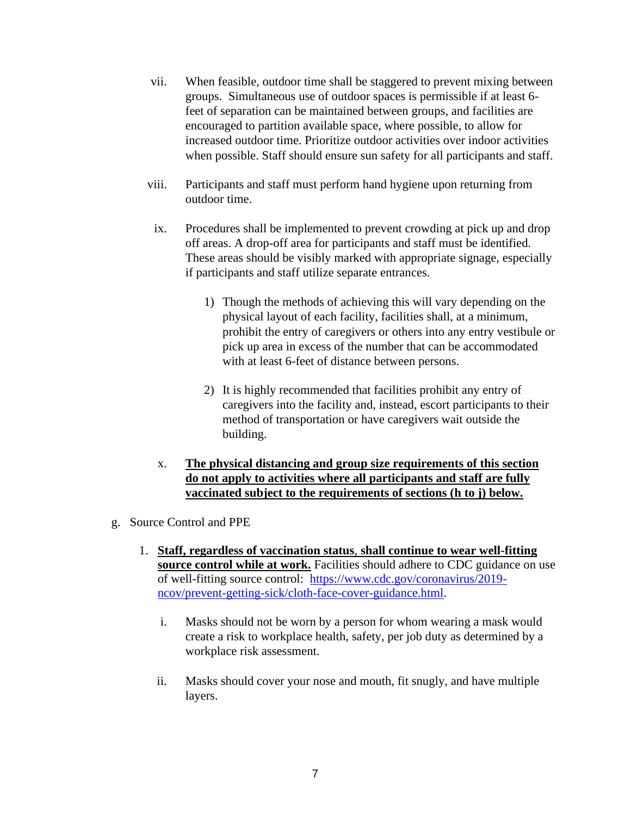- vii. When feasible, outdoor time shall be staggered to prevent mixing between groups. Simultaneous use of outdoor spaces is permissible if at least 6 feet of separation can be maintained between groups, and facilities are encouraged to partition available space, where possible, to allow for increased outdoor time. Prioritize outdoor activities over indoor activities when possible. Staff should ensure sun safety for all participants and staff.
- viii. Participants and staff must perform hand hygiene upon returning from outdoor time.
- ix. Procedures shall be implemented to prevent crowding at pick up and drop off areas. A drop-off area for participants and staff must be identified. These areas should be visibly marked with appropriate signage, especially if participants and staff utilize separate entrances.
	- 1) Though the methods of achieving this will vary depending on the physical layout of each facility, facilities shall, at a minimum, prohibit the entry of caregivers or others into any entry vestibule or pick up area in excess of the number that can be accommodated with at least 6-feet of distance between persons.
	- 2) It is highly recommended that facilities prohibit any entry of caregivers into the facility and, instead, escort participants to their method of transportation or have caregivers wait outside the building.
- x. **The physical distancing and group size requirements of this section do not apply to activities where all participants and staff are fully vaccinated subject to the requirements of sections (h to j) below.**
- g. Source Control and PPE
	- 1. **Staff, regardless of vaccination status**, **shall continue to wear well-fitting source control while at work.** Facilities should adhere to CDC guidance on use of well-fitting source control: [https://www.cdc.gov/coronavirus/2019](https://www.cdc.gov/coronavirus/2019-ncov/prevent-getting-sick/cloth-face-cover-guidance.html) [ncov/prevent-getting-sick/cloth-face-cover-guidance.html.](https://www.cdc.gov/coronavirus/2019-ncov/prevent-getting-sick/cloth-face-cover-guidance.html)
		- i. Masks should not be worn by a person for whom wearing a mask would create a risk to workplace health, safety, per job duty as determined by a workplace risk assessment.
		- ii. Masks should cover your nose and mouth, fit snugly, and have multiple layers.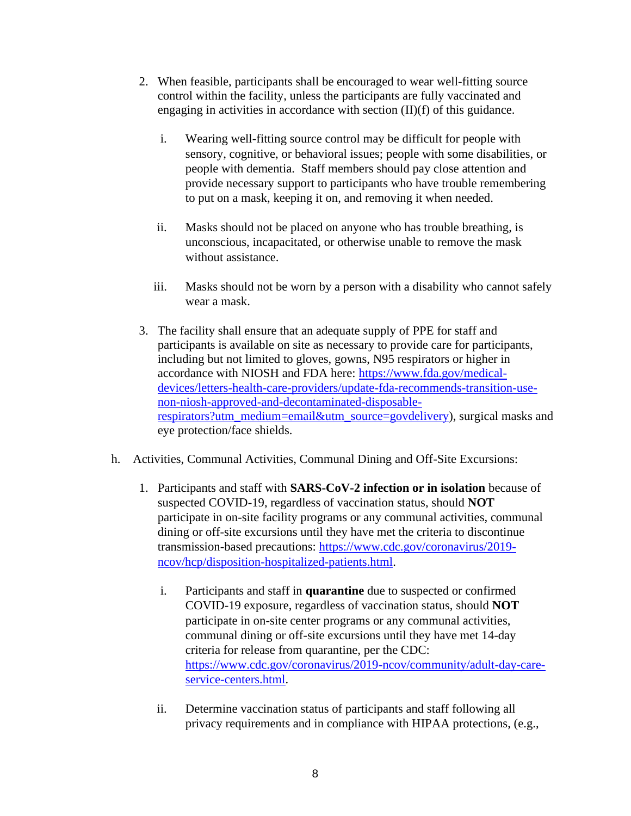- 2. When feasible, participants shall be encouraged to wear well-fitting source control within the facility, unless the participants are fully vaccinated and engaging in activities in accordance with section (II)(f) of this guidance.
	- i. Wearing well-fitting source control may be difficult for people with sensory, cognitive, or behavioral issues; people with some disabilities, or people with dementia. Staff members should pay close attention and provide necessary support to participants who have trouble remembering to put on a mask, keeping it on, and removing it when needed.
	- ii. Masks should not be placed on anyone who has trouble breathing, is unconscious, incapacitated, or otherwise unable to remove the mask without assistance.
	- iii. Masks should not be worn by a person with a disability who cannot safely wear a mask.
- 3. The facility shall ensure that an adequate supply of PPE for staff and participants is available on site as necessary to provide care for participants, including but not limited to gloves, gowns, N95 respirators or higher in accordance with NIOSH and FDA here: [https://www.fda.gov/medical](https://www.fda.gov/medical-devices/letters-health-care-providers/update-fda-recommends-transition-use-non-niosh-approved-and-decontaminated-disposable-respirators?utm_medium=email&utm_source=govdelivery)[devices/letters-health-care-providers/update-fda-recommends-transition-use](https://www.fda.gov/medical-devices/letters-health-care-providers/update-fda-recommends-transition-use-non-niosh-approved-and-decontaminated-disposable-respirators?utm_medium=email&utm_source=govdelivery)[non-niosh-approved-and-decontaminated-disposable](https://www.fda.gov/medical-devices/letters-health-care-providers/update-fda-recommends-transition-use-non-niosh-approved-and-decontaminated-disposable-respirators?utm_medium=email&utm_source=govdelivery)[respirators?utm\\_medium=email&utm\\_source=govdelivery\)](https://www.fda.gov/medical-devices/letters-health-care-providers/update-fda-recommends-transition-use-non-niosh-approved-and-decontaminated-disposable-respirators?utm_medium=email&utm_source=govdelivery), surgical masks and eye protection/face shields.
- h. Activities, Communal Activities, Communal Dining and Off-Site Excursions:
	- 1. Participants and staff with **SARS-CoV-2 infection or in isolation** because of suspected COVID-19, regardless of vaccination status, should **NOT**  participate in on-site facility programs or any communal activities, communal dining or off-site excursions until they have met the criteria to discontinue transmission-based precautions: [https://www.cdc.gov/coronavirus/2019](https://www.cdc.gov/coronavirus/2019-ncov/hcp/disposition-hospitalized-patients.html) [ncov/hcp/disposition-hospitalized-patients.html.](https://www.cdc.gov/coronavirus/2019-ncov/hcp/disposition-hospitalized-patients.html)
		- i. Participants and staff in **quarantine** due to suspected or confirmed COVID-19 exposure, regardless of vaccination status, should **NOT**  participate in on-site center programs or any communal activities, communal dining or off-site excursions until they have met 14-day criteria for release from quarantine, per the CDC: [https://www.cdc.gov/coronavirus/2019-ncov/community/adult-day-care](https://www.cdc.gov/coronavirus/2019-ncov/community/adult-day-care-service-centers.html)[service-centers.html.](https://www.cdc.gov/coronavirus/2019-ncov/community/adult-day-care-service-centers.html)
		- ii. Determine vaccination status of participants and staff following all privacy requirements and in compliance with HIPAA protections, (e.g.,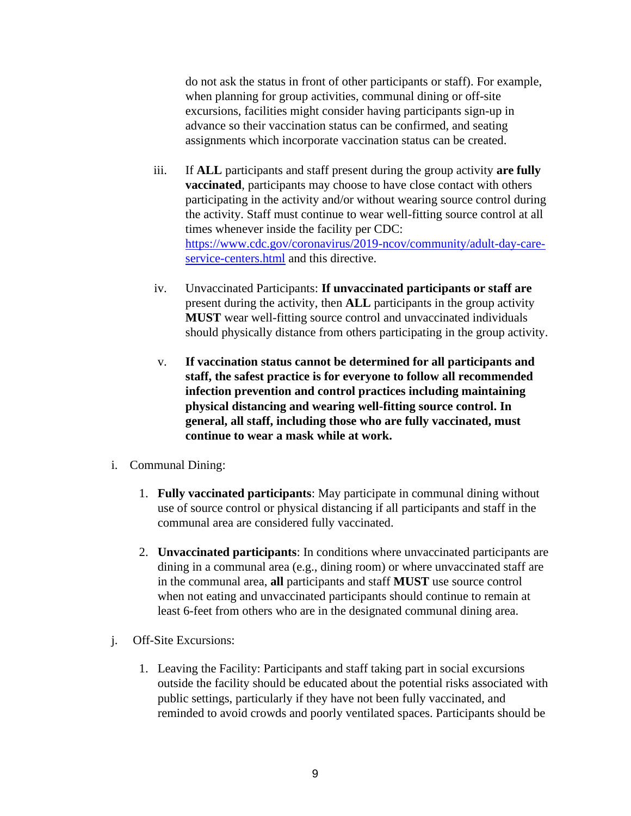do not ask the status in front of other participants or staff). For example, when planning for group activities, communal dining or off-site excursions, facilities might consider having participants sign-up in advance so their vaccination status can be confirmed, and seating assignments which incorporate vaccination status can be created.

- iii. If **ALL** participants and staff present during the group activity **are fully vaccinated**, participants may choose to have close contact with others participating in the activity and/or without wearing source control during the activity. Staff must continue to wear well-fitting source control at all times whenever inside the facility per CDC: [https://www.cdc.gov/coronavirus/2019-ncov/community/adult-day-care](https://www.cdc.gov/coronavirus/2019-ncov/community/adult-day-care-service-centers.html)[service-centers.html](https://www.cdc.gov/coronavirus/2019-ncov/community/adult-day-care-service-centers.html) and this directive.
- iv. Unvaccinated Participants: **If unvaccinated participants or staff are**  present during the activity, then **ALL** participants in the group activity **MUST** wear well-fitting source control and unvaccinated individuals should physically distance from others participating in the group activity.
- v. **If vaccination status cannot be determined for all participants and staff, the safest practice is for everyone to follow all recommended infection prevention and control practices including maintaining physical distancing and wearing well-fitting source control. In general, all staff, including those who are fully vaccinated, must continue to wear a mask while at work.**
- i. Communal Dining:
	- 1. **Fully vaccinated participants**: May participate in communal dining without use of source control or physical distancing if all participants and staff in the communal area are considered fully vaccinated.
	- 2. **Unvaccinated participants**: In conditions where unvaccinated participants are dining in a communal area (e.g., dining room) or where unvaccinated staff are in the communal area, **all** participants and staff **MUST** use source control when not eating and unvaccinated participants should continue to remain at least 6-feet from others who are in the designated communal dining area.
- j. Off-Site Excursions:
	- 1. Leaving the Facility: Participants and staff taking part in social excursions outside the facility should be educated about the potential risks associated with public settings, particularly if they have not been fully vaccinated, and reminded to avoid crowds and poorly ventilated spaces. Participants should be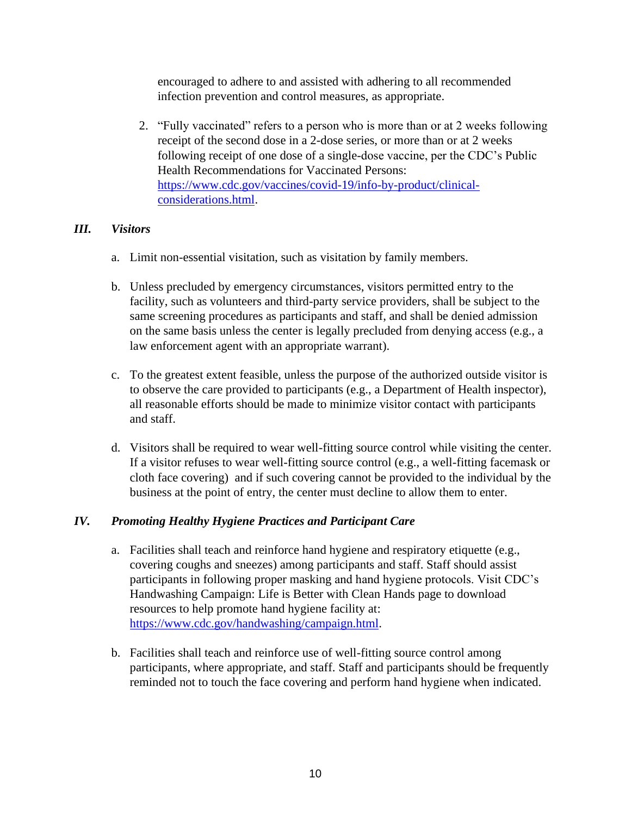encouraged to adhere to and assisted with adhering to all recommended infection prevention and control measures, as appropriate.

2. "Fully vaccinated" refers to a person who is more than or at 2 weeks following receipt of the second dose in a 2-dose series, or more than or at 2 weeks following receipt of one dose of a single-dose vaccine, per the CDC's Public Health Recommendations for Vaccinated Persons: [https://www.cdc.gov/vaccines/covid-19/info-by-product/clinical](https://www.cdc.gov/vaccines/covid-19/info-by-product/clinical-considerations.html)[considerations.html.](https://www.cdc.gov/vaccines/covid-19/info-by-product/clinical-considerations.html)

#### *III. Visitors*

- a. Limit non-essential visitation, such as visitation by family members.
- b. Unless precluded by emergency circumstances, visitors permitted entry to the facility, such as volunteers and third-party service providers, shall be subject to the same screening procedures as participants and staff, and shall be denied admission on the same basis unless the center is legally precluded from denying access (e.g., a law enforcement agent with an appropriate warrant).
- c. To the greatest extent feasible, unless the purpose of the authorized outside visitor is to observe the care provided to participants (e.g., a Department of Health inspector), all reasonable efforts should be made to minimize visitor contact with participants and staff.
- d. Visitors shall be required to wear well-fitting source control while visiting the center. If a visitor refuses to wear well-fitting source control (e.g., a well-fitting facemask or cloth face covering) and if such covering cannot be provided to the individual by the business at the point of entry, the center must decline to allow them to enter.

## *IV. Promoting Healthy Hygiene Practices and Participant Care*

- a. Facilities shall teach and reinforce hand hygiene and respiratory etiquette (e.g., covering coughs and sneezes) among participants and staff. Staff should assist participants in following proper masking and hand hygiene protocols. Visit CDC's Handwashing Campaign: Life is Better with Clean Hands page to download resources to help promote hand hygiene facility at: [https://www.cdc.gov/handwashing/campaign.html.](https://www.cdc.gov/handwashing/campaign.html)
- b. Facilities shall teach and reinforce use of well-fitting source control among participants, where appropriate, and staff. Staff and participants should be frequently reminded not to touch the face covering and perform hand hygiene when indicated.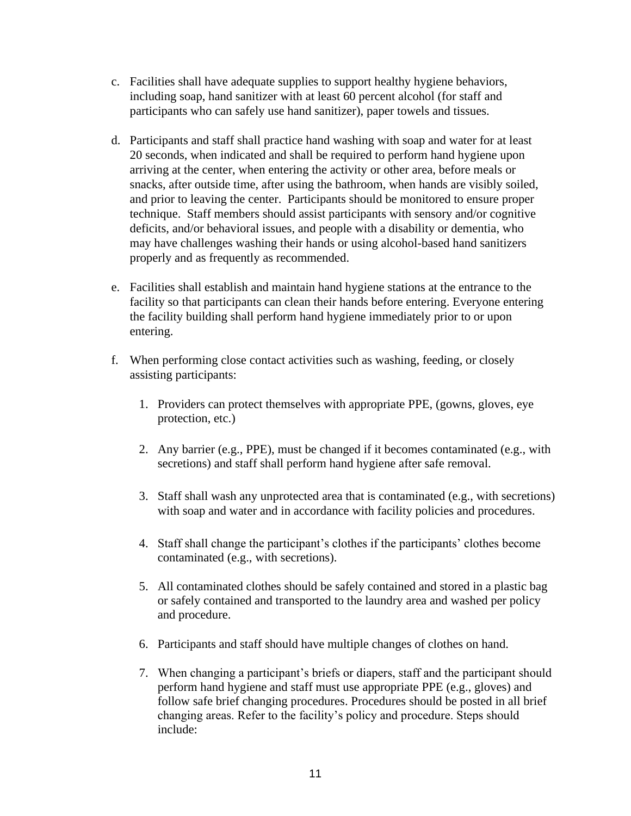- c. Facilities shall have adequate supplies to support healthy hygiene behaviors, including soap, hand sanitizer with at least 60 percent alcohol (for staff and participants who can safely use hand sanitizer), paper towels and tissues.
- d. Participants and staff shall practice hand washing with soap and water for at least 20 seconds, when indicated and shall be required to perform hand hygiene upon arriving at the center, when entering the activity or other area, before meals or snacks, after outside time, after using the bathroom, when hands are visibly soiled, and prior to leaving the center. Participants should be monitored to ensure proper technique. Staff members should assist participants with sensory and/or cognitive deficits, and/or behavioral issues, and people with a disability or dementia, who may have challenges washing their hands or using alcohol-based hand sanitizers properly and as frequently as recommended.
- e. Facilities shall establish and maintain hand hygiene stations at the entrance to the facility so that participants can clean their hands before entering. Everyone entering the facility building shall perform hand hygiene immediately prior to or upon entering.
- f. When performing close contact activities such as washing, feeding, or closely assisting participants:
	- 1. Providers can protect themselves with appropriate PPE, (gowns, gloves, eye protection, etc.)
	- 2. Any barrier (e.g., PPE), must be changed if it becomes contaminated (e.g., with secretions) and staff shall perform hand hygiene after safe removal.
	- 3. Staff shall wash any unprotected area that is contaminated (e.g., with secretions) with soap and water and in accordance with facility policies and procedures.
	- 4. Staff shall change the participant's clothes if the participants' clothes become contaminated (e.g., with secretions).
	- 5. All contaminated clothes should be safely contained and stored in a plastic bag or safely contained and transported to the laundry area and washed per policy and procedure.
	- 6. Participants and staff should have multiple changes of clothes on hand.
	- 7. When changing a participant's briefs or diapers, staff and the participant should perform hand hygiene and staff must use appropriate PPE (e.g., gloves) and follow safe brief changing procedures. Procedures should be posted in all brief changing areas. Refer to the facility's policy and procedure. Steps should include: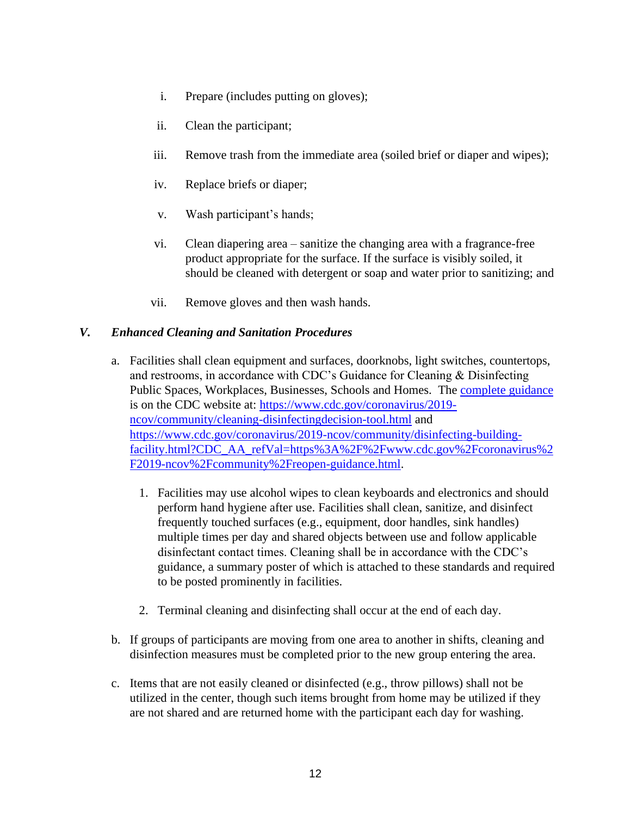- i. Prepare (includes putting on gloves);
- ii. Clean the participant;
- iii. Remove trash from the immediate area (soiled brief or diaper and wipes);
- iv. Replace briefs or diaper;
- v. Wash participant's hands;
- vi. Clean diapering area sanitize the changing area with a fragrance-free product appropriate for the surface. If the surface is visibly soiled, it should be cleaned with detergent or soap and water prior to sanitizing; and
- vii. Remove gloves and then wash hands.

#### *V. Enhanced Cleaning and Sanitation Procedures*

- a. Facilities shall clean equipment and surfaces, doorknobs, light switches, countertops, and restrooms, in accordance with CDC's Guidance for Cleaning & Disinfecting Public Spaces, Workplaces, Businesses, Schools and Homes. The [complete guidance](https://www.cdc.gov/coronavirus/2019-ncov/community/cleaning-disinfecting-decision-tool.html) is on the CDC website at: [https://www.cdc.gov/coronavirus/2019](https://www.cdc.gov/coronavirus/2019-ncov/community/cleaning-disinfecting-decision-tool.html) [ncov/community/cleaning-disinfectingdecision-tool.html](https://www.cdc.gov/coronavirus/2019-ncov/community/cleaning-disinfecting-decision-tool.html) and [https://www.cdc.gov/coronavirus/2019-ncov/community/disinfecting-building](https://www.cdc.gov/coronavirus/2019-ncov/community/disinfecting-building-facility.html?CDC_AA_refVal=https%3A%2F%2Fwww.cdc.gov%2Fcoronavirus%2F2019-ncov%2Fcommunity%2Freopen-guidance.html)[facility.html?CDC\\_AA\\_refVal=https%3A%2F%2Fwww.cdc.gov%2Fcoronavirus%2](https://www.cdc.gov/coronavirus/2019-ncov/community/disinfecting-building-facility.html?CDC_AA_refVal=https%3A%2F%2Fwww.cdc.gov%2Fcoronavirus%2F2019-ncov%2Fcommunity%2Freopen-guidance.html) [F2019-ncov%2Fcommunity%2Freopen-guidance.html.](https://www.cdc.gov/coronavirus/2019-ncov/community/disinfecting-building-facility.html?CDC_AA_refVal=https%3A%2F%2Fwww.cdc.gov%2Fcoronavirus%2F2019-ncov%2Fcommunity%2Freopen-guidance.html)
	- 1. Facilities may use alcohol wipes to clean keyboards and electronics and should perform hand hygiene after use. Facilities shall clean, sanitize, and disinfect frequently touched surfaces (e.g., equipment, door handles, sink handles) multiple times per day and shared objects between use and follow applicable disinfectant contact times. Cleaning shall be in accordance with the CDC's guidance, a summary poster of which is attached to these standards and required to be posted prominently in facilities.
	- 2. Terminal cleaning and disinfecting shall occur at the end of each day.
- b. If groups of participants are moving from one area to another in shifts, cleaning and disinfection measures must be completed prior to the new group entering the area.
- c. Items that are not easily cleaned or disinfected (e.g., throw pillows) shall not be utilized in the center, though such items brought from home may be utilized if they are not shared and are returned home with the participant each day for washing.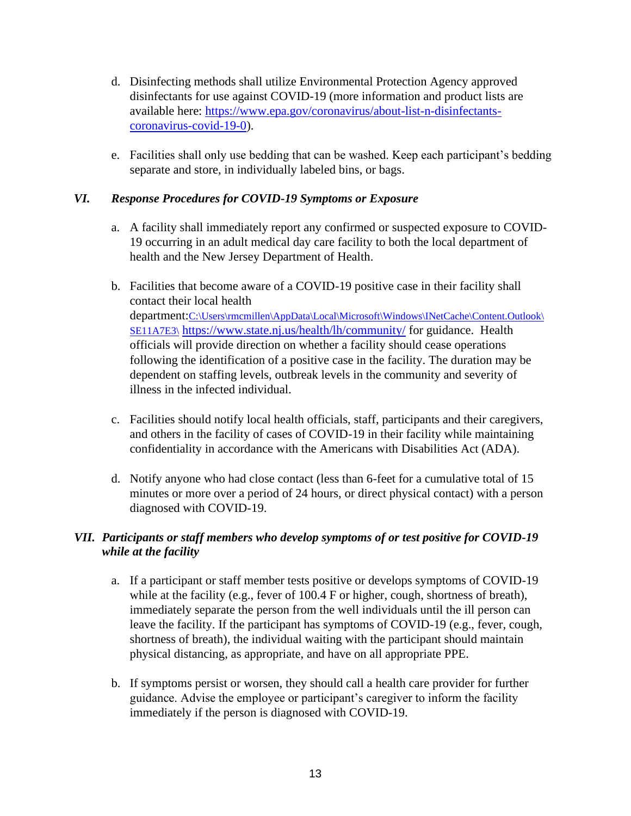- d. Disinfecting methods shall utilize Environmental Protection Agency approved disinfectants for use against COVID-19 (more information and product lists are available here: [https://www.epa.gov/coronavirus/about-list-n-disinfectants](https://www.epa.gov/coronavirus/about-list-n-disinfectants-coronavirus-covid-19-0)[coronavirus-covid-19-0\)](https://www.epa.gov/coronavirus/about-list-n-disinfectants-coronavirus-covid-19-0).
- e. Facilities shall only use bedding that can be washed. Keep each participant's bedding separate and store, in individually labeled bins, or bags.

# *VI. Response Procedures for COVID-19 Symptoms or Exposure*

- a. A facility shall immediately report any confirmed or suspected exposure to COVID-19 occurring in an adult medical day care facility to both the local department of health and the New Jersey Department of Health.
- b. Facilities that become aware of a COVID-19 positive case in their facility shall contact thei[r](http://www.localhealth.nj.gov/) local health department:[C:\Users\rmcmillen\AppData\Local\Microsoft\Windows\INetCache\Content.Outlook\](file:///C:/Users/rmcmillen/AppData/Local/Microsoft/Windows/INetCache/Content.Outlook/SE11A7E3/) [SE11A7E3\](file:///C:/Users/rmcmillen/AppData/Local/Microsoft/Windows/INetCache/Content.Outlook/SE11A7E3/) <https://www.state.nj.us/health/lh/community/> for guidance. Health officials will provide direction on whether a facility should cease operations following the identification of a positive case in the facility. The duration may be dependent on staffing levels, outbreak levels in the community and severity of illness in the infected individual.
- c. Facilities should notify local health officials, staff, participants and their caregivers, and others in the facility of cases of COVID-19 in their facility while maintaining confidentiality in accordance with the Americans with Disabilities Act (ADA).
- d. Notify anyone who had close contact (less than 6-feet for a cumulative total of 15 minutes or more over a period of 24 hours, or direct physical contact) with a person diagnosed with COVID-19.

# *VII. Participants or staff members who develop symptoms of or test positive for COVID-19 while at the facility*

- a. If a participant or staff member tests positive or develops symptoms of COVID-19 while at the facility (e.g., fever of 100.4 F or higher, cough, shortness of breath), immediately separate the person from the well individuals until the ill person can leave the facility. If the participant has symptoms of COVID-19 (e.g., fever, cough, shortness of breath), the individual waiting with the participant should maintain physical distancing, as appropriate, and have on all appropriate PPE.
- b. If symptoms persist or worsen, they should call a health care provider for further guidance. Advise the employee or participant's caregiver to inform the facility immediately if the person is diagnosed with COVID-19.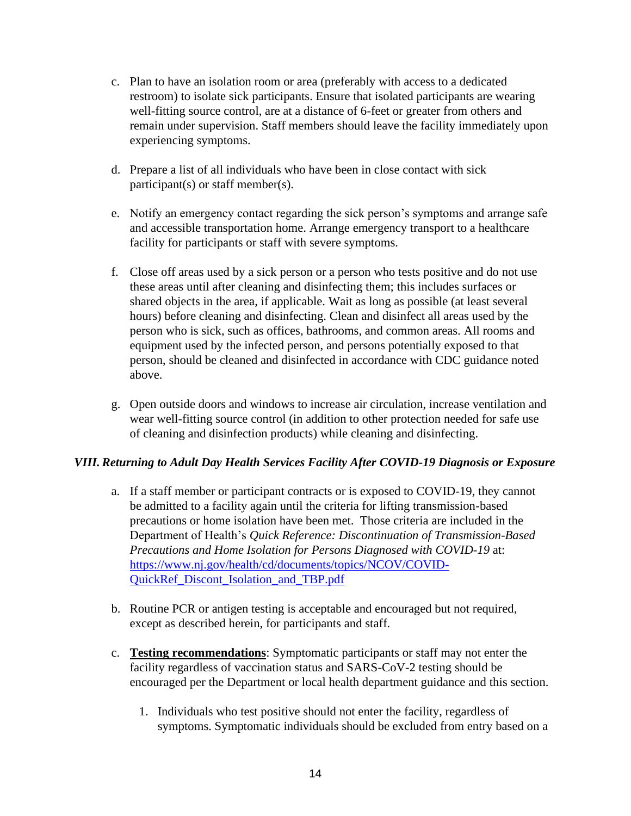- c. Plan to have an isolation room or area (preferably with access to a dedicated restroom) to isolate sick participants. Ensure that isolated participants are wearing well-fitting source control, are at a distance of 6-feet or greater from others and remain under supervision. Staff members should leave the facility immediately upon experiencing symptoms.
- d. Prepare a list of all individuals who have been in close contact with sick participant(s) or staff member(s).
- e. Notify an emergency contact regarding the sick person's symptoms and arrange safe and accessible transportation home. Arrange emergency transport to a healthcare facility for participants or staff with severe symptoms.
- f. Close off areas used by a sick person or a person who tests positive and do not use these areas until after cleaning and disinfecting them; this includes surfaces or shared objects in the area, if applicable. Wait as long as possible (at least several hours) before cleaning and disinfecting. Clean and disinfect all areas used by the person who is sick, such as offices, bathrooms, and common areas. All rooms and equipment used by the infected person, and persons potentially exposed to that person, should be cleaned and disinfected in accordance with CDC guidance noted above.
- g. Open outside doors and windows to increase air circulation, increase ventilation and wear well-fitting source control (in addition to other protection needed for safe use of cleaning and disinfection products) while cleaning and disinfecting.

## *VIII.Returning to Adult Day Health Services Facility After COVID-19 Diagnosis or Exposure*

- a. If a staff member or participant contracts or is exposed to COVID-19, they cannot be admitted to a facility again until the criteria for lifting transmission-based precautions or home isolation have been met. Those criteria are included in the Department of Health's *Quick Reference: Discontinuation of Transmission-Based Precautions and Home Isolation for Persons Diagnosed with COVID-19* at: [https://www.nj.gov/health/cd/documents/topics/NCOV/COVID-](https://www.nj.gov/health/cd/documents/topics/NCOV/COVID-QuickRef_Discont_Isolation_and_TBP.pdf)[QuickRef\\_Discont\\_Isolation\\_and\\_TBP.pdf](https://www.nj.gov/health/cd/documents/topics/NCOV/COVID-QuickRef_Discont_Isolation_and_TBP.pdf)
- b. Routine PCR or antigen testing is acceptable and encouraged but not required, except as described herein, for participants and staff.
- c. **Testing recommendations**: Symptomatic participants or staff may not enter the facility regardless of vaccination status and SARS-CoV-2 testing should be encouraged per the Department or local health department guidance and this section.
	- 1. Individuals who test positive should not enter the facility, regardless of symptoms. Symptomatic individuals should be excluded from entry based on a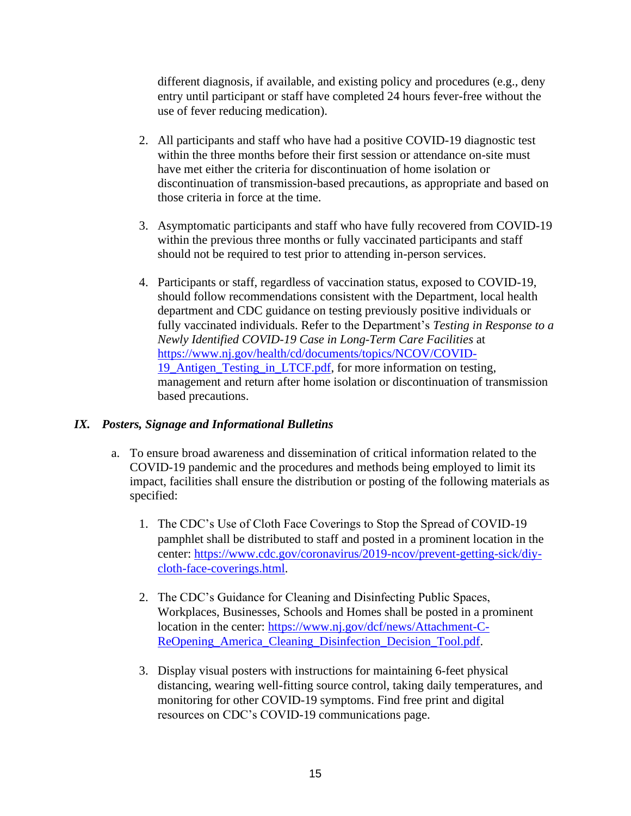different diagnosis, if available, and existing policy and procedures (e.g., deny entry until participant or staff have completed 24 hours fever-free without the use of fever reducing medication).

- 2. All participants and staff who have had a positive COVID-19 diagnostic test within the three months before their first session or attendance on-site must have met either the criteria for discontinuation of home isolation or discontinuation of transmission-based precautions, as appropriate and based on those criteria in force at the time.
- 3. Asymptomatic participants and staff who have fully recovered from COVID-19 within the previous three months or fully vaccinated participants and staff should not be required to test prior to attending in-person services.
- 4. Participants or staff, regardless of vaccination status, exposed to COVID-19, should follow recommendations consistent with the Department, local health department and CDC guidance on testing previously positive individuals or fully vaccinated individuals. Refer to the Department's *Testing in Response to a Newly Identified COVID-19 Case in Long-Term Care Facilities* at [https://www.nj.gov/health/cd/documents/topics/NCOV/COVID-](https://www.nj.gov/health/cd/documents/topics/NCOV/COVID-19_Antigen_Testing_in_LTCF.pdf)[19\\_Antigen\\_Testing\\_in\\_LTCF.pdf,](https://www.nj.gov/health/cd/documents/topics/NCOV/COVID-19_Antigen_Testing_in_LTCF.pdf) for more information on testing, management and return after home isolation or discontinuation of transmission based precautions.

## *IX. Posters, Signage and Informational Bulletins*

- a. To ensure broad awareness and dissemination of critical information related to the COVID-19 pandemic and the procedures and methods being employed to limit its impact, facilities shall ensure the distribution or posting of the following materials as specified:
	- 1. The CDC's Use of Cloth Face Coverings to Stop the Spread of COVID-19 pamphlet shall be distributed to staff and posted in a prominent location in the center: [https://www.cdc.gov/coronavirus/2019-ncov/prevent-getting-sick/diy](https://www.cdc.gov/coronavirus/2019-ncov/prevent-getting-sick/diy-cloth-face-coverings.html)[cloth-face-coverings.html.](https://www.cdc.gov/coronavirus/2019-ncov/prevent-getting-sick/diy-cloth-face-coverings.html)
	- 2. The CDC's Guidance for Cleaning and Disinfecting Public Spaces, Workplaces, Businesses, Schools and Homes shall be posted in a prominent location in the center: [https://www.nj.gov/dcf/news/Attachment-C-](https://www.nj.gov/dcf/news/Attachment-C-ReOpening_America_Cleaning_Disinfection_Decision_Tool.pdf)ReOpening America Cleaning Disinfection Decision Tool.pdf.
	- 3. Display visual posters with instructions for maintaining 6-feet physical distancing, wearing well-fitting source control, taking daily temperatures, and monitoring for other COVID-19 symptoms. Find free print and digital resources on CDC's COVID-19 communications page.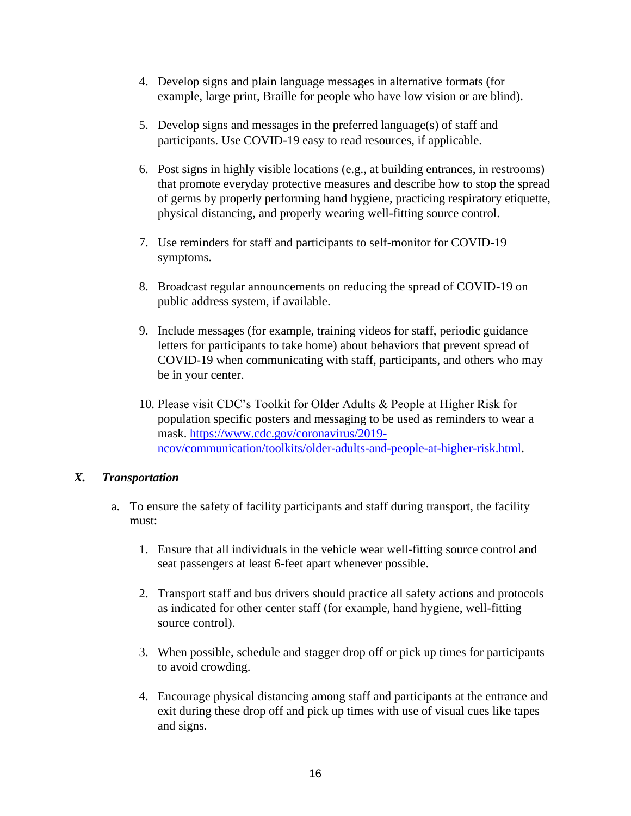- 4. Develop signs and plain language messages in alternative formats (for example, large print, Braille for people who have low vision or are blind).
- 5. Develop signs and messages in the preferred language(s) of staff and participants. Use COVID-19 easy to read resources, if applicable.
- 6. Post signs in highly visible locations (e.g., at building entrances, in restrooms) that promote everyday protective measures and describe how to stop the spread of germs by properly performing hand hygiene, practicing respiratory etiquette, physical distancing, and properly wearing well-fitting source control.
- 7. Use reminders for staff and participants to self-monitor for COVID-19 symptoms.
- 8. Broadcast regular announcements on reducing the spread of COVID-19 on public address system, if available.
- 9. Include messages (for example, training videos for staff, periodic guidance letters for participants to take home) about behaviors that prevent spread of COVID-19 when communicating with staff, participants, and others who may be in your center.
- 10. Please visit CDC's Toolkit for Older Adults & People at Higher Risk for population specific posters and messaging to be used as reminders to wear a mask. [https://www.cdc.gov/coronavirus/2019](https://www.cdc.gov/coronavirus/2019-ncov/communication/toolkits/older-adults-and-people-at-higher-risk.html) [ncov/communication/toolkits/older-adults-and-people-at-higher-risk.html.](https://www.cdc.gov/coronavirus/2019-ncov/communication/toolkits/older-adults-and-people-at-higher-risk.html)

#### *X. Transportation*

- a. To ensure the safety of facility participants and staff during transport, the facility must:
	- 1. Ensure that all individuals in the vehicle wear well-fitting source control and seat passengers at least 6-feet apart whenever possible.
	- 2. Transport staff and bus drivers should practice all safety actions and protocols as indicated for other center staff (for example, hand hygiene, well-fitting source control).
	- 3. When possible, schedule and stagger drop off or pick up times for participants to avoid crowding.
	- 4. Encourage physical distancing among staff and participants at the entrance and exit during these drop off and pick up times with use of visual cues like tapes and signs.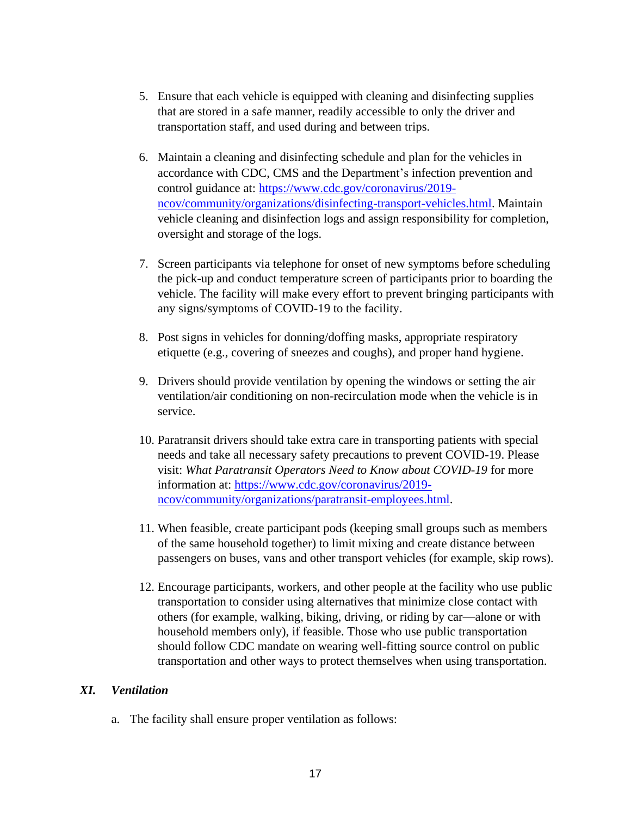- 5. Ensure that each vehicle is equipped with cleaning and disinfecting supplies that are stored in a safe manner, readily accessible to only the driver and transportation staff, and used during and between trips.
- 6. Maintain a cleaning and disinfecting schedule and plan for the vehicles in accordance with CDC, CMS and the Department's infection prevention and control guidance at: [https://www.cdc.gov/coronavirus/2019](https://www.cdc.gov/coronavirus/2019-ncov/community/organizations/disinfecting-transport-vehicles.html) [ncov/community/organizations/disinfecting-transport-vehicles.html.](https://www.cdc.gov/coronavirus/2019-ncov/community/organizations/disinfecting-transport-vehicles.html) Maintain vehicle cleaning and disinfection logs and assign responsibility for completion, oversight and storage of the logs.
- 7. Screen participants via telephone for onset of new symptoms before scheduling the pick-up and conduct temperature screen of participants prior to boarding the vehicle. The facility will make every effort to prevent bringing participants with any signs/symptoms of COVID-19 to the facility.
- 8. Post signs in vehicles for donning/doffing masks, appropriate respiratory etiquette (e.g., covering of sneezes and coughs), and proper hand hygiene.
- 9. Drivers should provide ventilation by opening the windows or setting the air ventilation/air conditioning on non-recirculation mode when the vehicle is in service.
- 10. Paratransit drivers should take extra care in transporting patients with special needs and take all necessary safety precautions to prevent COVID-19. Please visit: *What Paratransit Operators Need to Know about COVID-19* for more information at: [https://www.cdc.gov/coronavirus/2019](https://www.cdc.gov/coronavirus/2019-ncov/community/organizations/paratransit-employees.html) [ncov/community/organizations/paratransit-employees.html.](https://www.cdc.gov/coronavirus/2019-ncov/community/organizations/paratransit-employees.html)
- 11. When feasible, create participant pods (keeping small groups such as members of the same household together) to limit mixing and create distance between passengers on buses, vans and other transport vehicles (for example, skip rows).
- 12. Encourage participants, workers, and other people at the facility who use public transportation to consider using alternatives that minimize close contact with others (for example, walking, biking, driving, or riding by car—alone or with household members only), if feasible. Those who use public transportation should follow CDC mandate on wearing well-fitting source control on public transportation and other ways to protect themselves when using transportation.

## *XI. Ventilation*

a. The facility shall ensure proper ventilation as follows: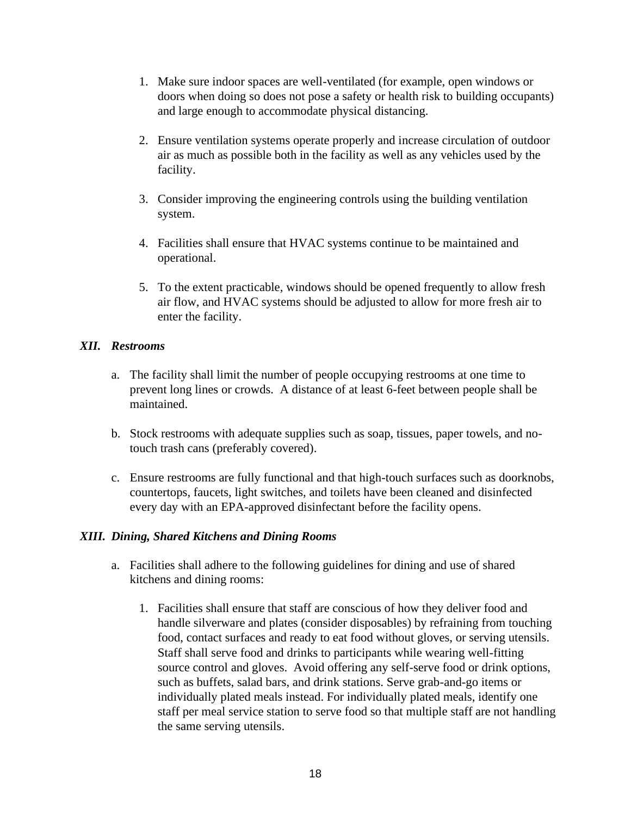- 1. Make sure indoor spaces are well-ventilated (for example, open windows or doors when doing so does not pose a safety or health risk to building occupants) and large enough to accommodate physical distancing.
- 2. Ensure ventilation systems operate properly and increase circulation of outdoor air as much as possible both in the facility as well as any vehicles used by the facility.
- 3. Consider improving the engineering controls using the building ventilation system.
- 4. Facilities shall ensure that HVAC systems continue to be maintained and operational.
- 5. To the extent practicable, windows should be opened frequently to allow fresh air flow, and HVAC systems should be adjusted to allow for more fresh air to enter the facility.

#### *XII. Restrooms*

- a. The facility shall limit the number of people occupying restrooms at one time to prevent long lines or crowds. A distance of at least 6-feet between people shall be maintained.
- b. Stock restrooms with adequate supplies such as soap, tissues, paper towels, and notouch trash cans (preferably covered).
- c. Ensure restrooms are fully functional and that high-touch surfaces such as doorknobs, countertops, faucets, light switches, and toilets have been cleaned and disinfected every day with an EPA-approved disinfectant before the facility opens.

## *XIII. Dining, Shared Kitchens and Dining Rooms*

- a. Facilities shall adhere to the following guidelines for dining and use of shared kitchens and dining rooms:
	- 1. Facilities shall ensure that staff are conscious of how they deliver food and handle silverware and plates (consider disposables) by refraining from touching food, contact surfaces and ready to eat food without gloves, or serving utensils. Staff shall serve food and drinks to participants while wearing well-fitting source control and gloves. Avoid offering any self-serve food or drink options, such as buffets, salad bars, and drink stations. Serve grab-and-go items or individually plated meals instead. For individually plated meals, identify one staff per meal service station to serve food so that multiple staff are not handling the same serving utensils.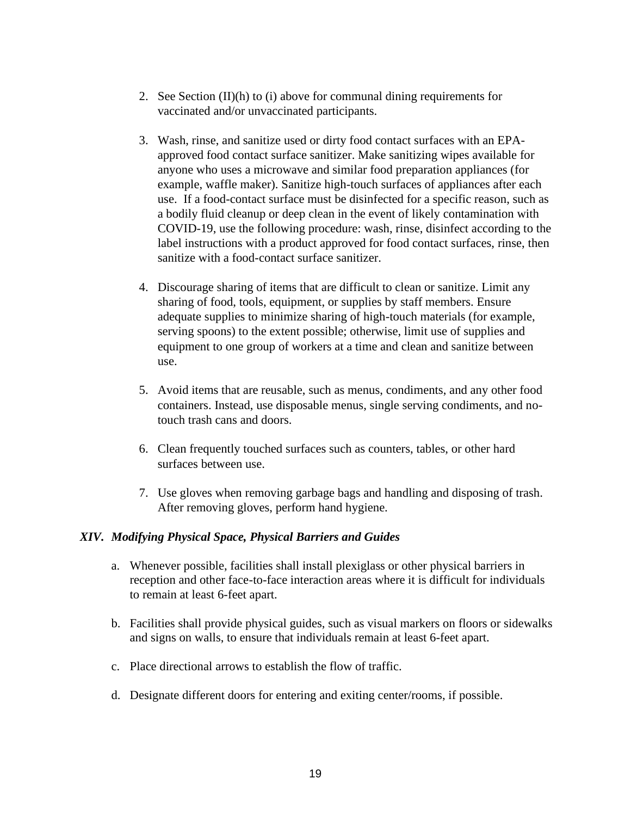- 2. See Section  $(II)(h)$  to  $(i)$  above for communal dining requirements for vaccinated and/or unvaccinated participants.
- 3. Wash, rinse, and sanitize used or dirty food contact surfaces with an EPAapproved food contact surface sanitizer. Make sanitizing wipes available for anyone who uses a microwave and similar food preparation appliances (for example, waffle maker). Sanitize high-touch surfaces of appliances after each use. If a food-contact surface must be disinfected for a specific reason, such as a bodily fluid cleanup or deep clean in the event of likely contamination with COVID-19, use the following procedure: wash, rinse, disinfect according to the label instructions with a product approved for food contact surfaces, rinse, then sanitize with a food-contact surface sanitizer.
- 4. Discourage sharing of items that are difficult to clean or sanitize. Limit any sharing of food, tools, equipment, or supplies by staff members. Ensure adequate supplies to minimize sharing of high-touch materials (for example, serving spoons) to the extent possible; otherwise, limit use of supplies and equipment to one group of workers at a time and clean and sanitize between use.
- 5. Avoid items that are reusable, such as menus, condiments, and any other food containers. Instead, use disposable menus, single serving condiments, and notouch trash cans and doors.
- 6. Clean frequently touched surfaces such as counters, tables, or other hard surfaces between use.
- 7. Use gloves when removing garbage bags and handling and disposing of trash. After removing gloves, perform hand hygiene.

## *XIV. Modifying Physical Space, Physical Barriers and Guides*

- a. Whenever possible, facilities shall install plexiglass or other physical barriers in reception and other face-to-face interaction areas where it is difficult for individuals to remain at least 6-feet apart.
- b. Facilities shall provide physical guides, such as visual markers on floors or sidewalks and signs on walls, to ensure that individuals remain at least 6-feet apart.
- c. Place directional arrows to establish the flow of traffic.
- d. Designate different doors for entering and exiting center/rooms, if possible.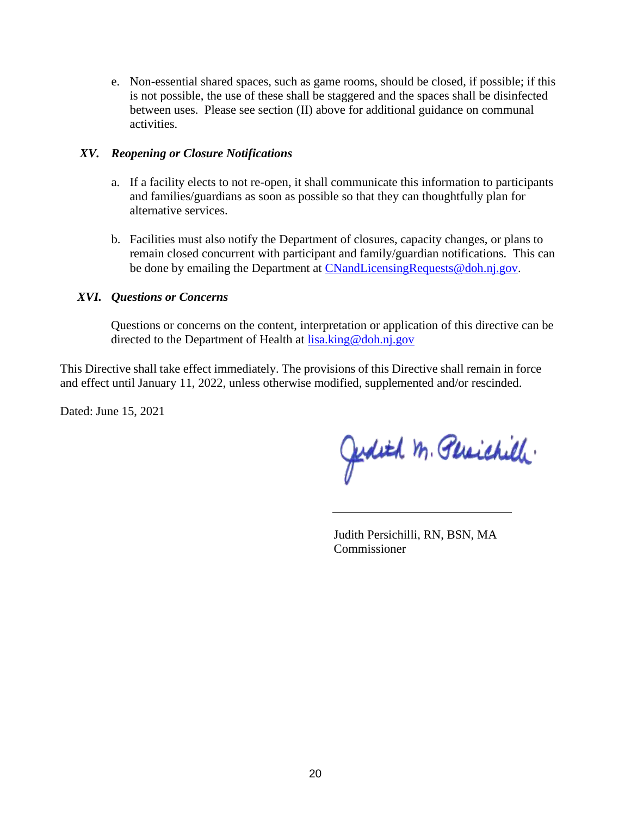e. Non-essential shared spaces, such as game rooms, should be closed, if possible; if this is not possible, the use of these shall be staggered and the spaces shall be disinfected between uses. Please see section (II) above for additional guidance on communal activities.

#### *XV. Reopening or Closure Notifications*

- a. If a facility elects to not re-open, it shall communicate this information to participants and families/guardians as soon as possible so that they can thoughtfully plan for alternative services.
- b. Facilities must also notify the Department of closures, capacity changes, or plans to remain closed concurrent with participant and family/guardian notifications. This can be done by emailing the Department at [CNandLicensingRequests@doh.nj.gov.](mailto:CNandLicensingRequests@doh.nj.gov)

#### *XVI. Questions or Concerns*

Questions or concerns on the content, interpretation or application of this directive can be directed to the Department of Health at [lisa.king@doh.nj.gov](mailto:lisa.king@doh.nj.gov)

This Directive shall take effect immediately. The provisions of this Directive shall remain in force and effect until January 11, 2022, unless otherwise modified, supplemented and/or rescinded.

Dated: June 15, 2021

Judith M. Persichille.

Judith Persichilli, RN, BSN, MA Commissioner